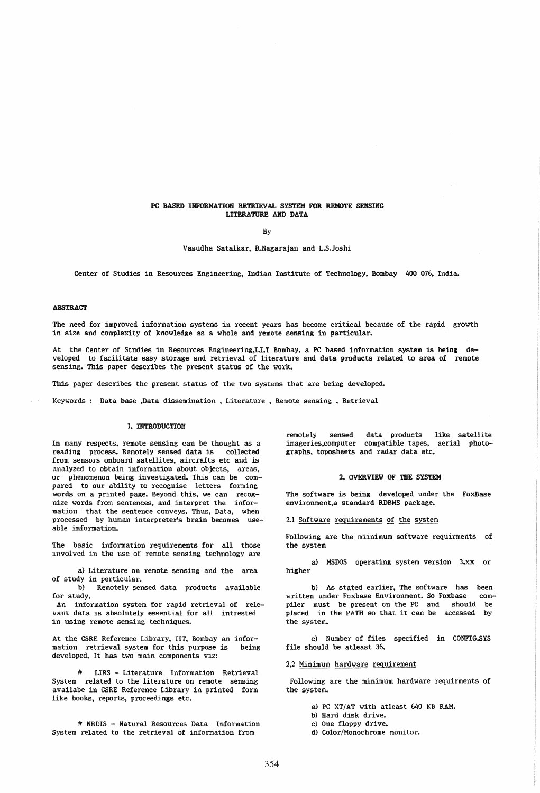### PC BASED INFORMATION RETRIEVAL SYSTEM FOR REMOTE SENSING LITERATURE AND DATA

By

Vasudha Satalkar, R.Nagarajan and L.S.Joshi

Center of Studies in Resources Engineering, Indian Institute of Technology. Bombay 400 076, India.

### ABSTRACT

The need for improved information systems in recent years has become critical because of the rapid growth in size and complexity of knowledge as a whole and remote sensing in particular.

At the Center of Studies in Resources Engineering,I.I.T Bombay, a PC based information system is being developed to facilitate easy storage and retrieval of literature and data products related to area of remote sensing. This paper describes the present status of the work.

This paper describes the present status of the two systems that are being developed.

Keywords : Data base ,Data dissemination , Literature , Remote sensing , Retrieval

## 1. INTRODUCTION

In many respects, remote sensing can be thought as a reading process. Remotely sensed data is collected from sensors onboard satellites, aircrafts etc and is analyzed to obtain information about objects, areas. or phenomenon being investigated. This can be compared to our ability to recognise letters forming words on a printed page. Beyond this, we can recognize words from sentences, and interpret the information that the sentence conveys. Thus, Data, when processed by human interpreter's brain becomes useable information.

The basic information requirements for all those involved in the use of remote sensing technology are

a) Literature on remote sensing and the area of study in perticular.

b) Remotely sensed data products available for study.

An information system for rapid retrieval of relevant data is absolutely essential for all intrested in using remote sensing techniques.

At the CSRE Reference Library, lIT. Bombay an information retrieval system for this purpose is being developed. It has two main components viz:

LIRS - Literature Information Retrieval System related to the literature on remote sensing availabe in CSRE Reference Library in printed form like books, reports, proceedings etc.

# NRDIS - Natural Resources Data Information System related to the retrieval of information from

remotely sensed data products like satellite imageries,computer compatible tapes, aerial photographs, toposheets and radar data etc.

### 2. OVERVIEW OF THE SYSTEM

The software is being developed under the FoxBase environment,a standard RDBMS package.

2.1 Software requirements of the system

Following are the miinimum software requirments of the system

a) MSOOS operating system version 3.xx or higher

b) As stated earlier. The software has been written under Foxbase Environment. So Foxbase compiler must be present on the PC and should be placed in the PATH so that it can be accessed by the system.

c) Number of files specified in CONFIG.SYS file should be atleast 36.

2,2 Minimum hardware requirement

Following are the minimum hardware requirments of the system.

- a) PC XT/AT with atleast 640 KB RAM.
- b) Hard disk drive.
- e) One floppy drive.
- d) Color/Monochrome monitor.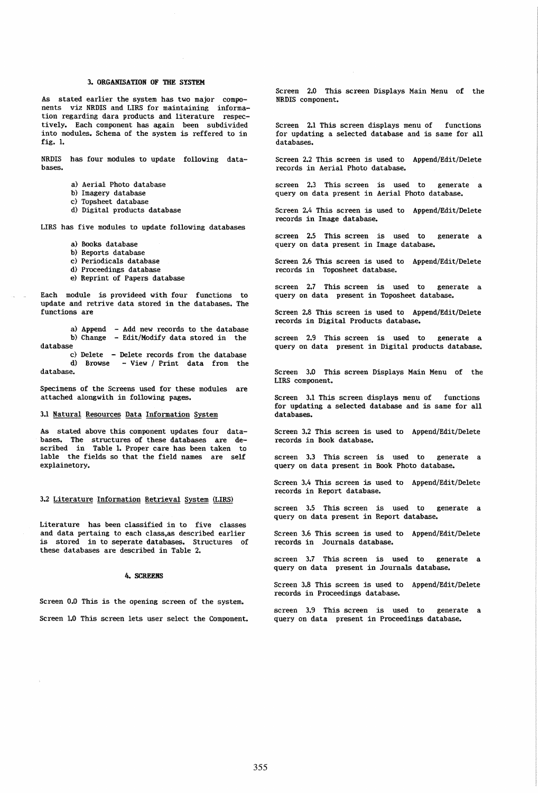# 3. ORGANISATION OF THE SYSTEM

As stated earlier the system has two major components viz NRDIS and LIRS for maintaining information regarding dara products and literature respectively. Each component has again been subdivided into modules. Schema of the system is reffered to in fig. 1.

NRDIS has four modules to update following databases.

- a) Aerial Photo database
- b) Imagery database
- c) Topsheet database
- d) Digital products database

LIRS has five modules to update following databases

- a) Books database
- b) Reports database
- c) Periodicals database
- d) Proceedings database
- e) Reprint of Papers database

Each module is provideed with four functions to update and retrive data stored in the databases. The functions are

a) Append b) Change database - Add new records to the database Edit/Modify data stored in the

c) Delete - Delete records from the database d) Browse - View / Print data from the database.

Specimens of the Screens used for these modules are attached alongwith in following pages.

### 3.1 Natural Resources Data Information System

As stated above this component updates four databases. The structures of these databases are described in Table 1. Proper care has been taken to lable the fields so that the field names are self explainetory.

## 3.2 Literature Information Retrieval System (LIRS)

Literature has been classified in to five classes and data pertaing to each class,as described earlier is stored in to seperate databases. Structures of these databases are described in Table 2.

#### 4. SCREENS

Screen 0.0 This is the opening screen of the system.

Screen 1.0 This screen lets user select the Component.

Screen 2.0 This screen Displays Main Menu of the NRDIS component.

Screen 2.1 This screen displays menu of functions for updating a selected database and is same for all databases.

Screen 2.2 This screen is used to Append/Edit/Delete records in Aerial Photo database.

screen 2.3 This screen is used to generate a query on data present in Aerial Photo database.

Screen 2.4 This screen is used to Append/Edit/Delete records in Image database.

screen 2.5 This screen is used to generate a query on data present in Image database.

Screen 2.6 This screen is used to Append/Edit/Delete records in Toposheet database.

screen 2.7 This screen is used to generate a query on data present in Toposheet database.

Screen 2.8 This screen is used to Append/Edit/Delete records in Digital Products database.

screen 2.9 This screen is used to generate a query on data present in Digital products database.

Screen 3.0 This screen Displays Main Menu of the LIRS component.

Screen 3.1 This screen displays menu of functions for updating a selected database and is same for all databases.

Screen 3.2 This screen is used to Append/Edit/Delete records in Book database.

screen 3.3 This screen is used to generate a query on data present in Book Photo database.

Screen 3.4 This screen is used to Append/Edit/Delete records in Report database.

screen 3.5 This screen is used to generate a query on data present in Report database.

Screen 3.6 This screen is used to Append/Edit/Delete records in Journals database.

screen 3.7 This screen is used to generate a query on data present in Journals database.

Screen 3.8 This screen is used to Append/Edit/Delete records in Proceedings database.

screen 3.9 This screen is used to generate a query on data present in Proceedings database.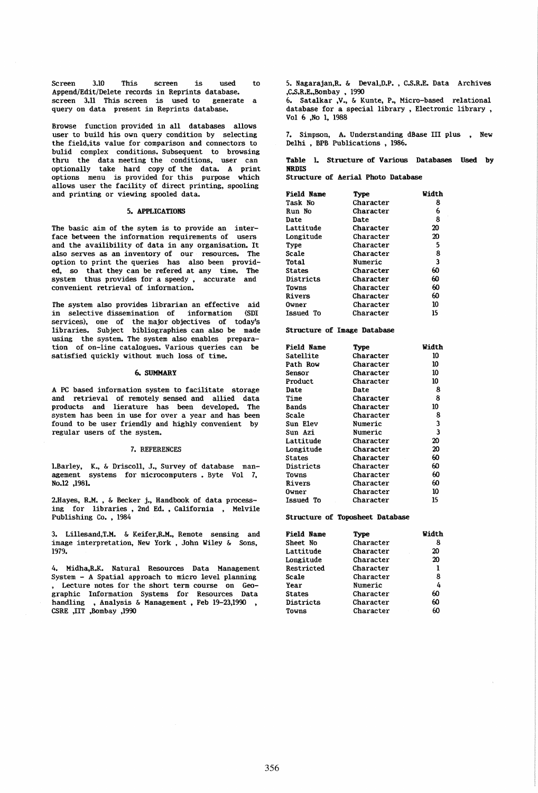Screen 3.10 This screen is used to Append/Edit/Delete records in Reprints database.<br>screen 3.11 This screen is used to generate a screen 3.11 This screen is used to query on data present in Reprints database.

Browse function provided in all databases allows user to build his own query condition by selecting the field,its value for comparison and connectors to bulid complex conditions. Subsequent to browsing thru the data meeting the conditions, user can optionally take hard copy of the data. A print options menu is provided for this purpose which allows user the facility of direct printing, spooling and printing or viewing spooled data.

## 5. APPLICATIONS

The basic aim of the sytem is to provide an interface between the information requirements of users and the availibility of data in any organisation. It also serves as an inventory of our resources. The option to print the queries has also been provided, so that they can be refered at any time. The system thus provides for a speedy, accurate and convenient retrieval of information.

The system also provides librarian an effective aid in selective dissemination of information (SDI services), one of the major objectives of today's libraries. Subject bibliographies can also be made using the system. The system also enables preparation of on-line catalogues. Various queries can be satisfied quickly without much loss of time.

## 6. SUMMARY

A PC based information system to facilitate storage and retrieval of remotely sensed and allied data products and lierature has been developed. The system has been in use for over a year and has been found to be user friendly and highly convenient by regular users of the system.

#### 7. REFERENCES

I.Barley. K., & Driscoll, J., Survey of database management systems for microcomputers. Byte Vol 7, No.12 ,1981.

2.Hayes, R.M. • & Becker j., Handbook of data processing for libraries, 2nd Ed., California, Melvile Publishing Co. , 1984

3. Lillesand, T.M. & Keifer, R.M., Remote sensing and image interpretation, New York, John Wiley & Sons, 1979.

4. Midha,R.K. Natural Resources Data Management System - A Spatial approach to micro level planning , Lecture notes for the short term course on Geographic Information Systems for Resources Data handling, Analysis & Management, Feb 19-23,1990 CSRE ,lIT ,Bombay ,1990

5. Nagarajan.R. & Deval.D.P., C.s.R.E.. Data Archives ,C.s.R.E.,Bombay , 1990

6. Satalkar ,V., & Kunte, P., Micro-based relational database for a special library, Electronic library, Vol 6 ,No I, 1988

7. Simpson, A. Understanding dBase III plus, New Delhi, BPB Publications, 1986.

Table L Structure of Various Databases Used by NRDIS

Structure of Aerial Photo Database

| Field Name    | Type      | Width |
|---------------|-----------|-------|
| Task No       | Character | 8     |
| Run No        | Character | 6     |
| Date          | Date      | 8     |
| Lattitude     | Character | 20    |
| Longitude     | Character | 20    |
| Type          | Character | 5     |
| Scale         | Character | 8     |
| Total         | Numeric   | 3     |
| <b>States</b> | Character | 60    |
| Districts     | Character | 60    |
| Towns         | Character | 60    |
| Rivers        | Character | 60    |
| Owner         | Character | 10    |
| Issued To     | Character | 15    |

Structure of Image Database

| <b>Field Name</b> | Type      | Width |
|-------------------|-----------|-------|
| Satellite         | Character | 10    |
| Path Row          | Character | 10    |
| Sensor            | Character | 10    |
| Product           | Character | 10    |
| Date              | Date      | 8     |
| Time              | Character | 8     |
| Bands             | Character | 10    |
| Scale             | Character | 8     |
| Sun Elev          | Numeric   | 3     |
| Sun Azi           | Numeric   | 3     |
| Lattitude         | Character | 20    |
| Longitude         | Character | 20    |
| States            | Character | 60    |
| Districts         | Character | 60    |
| Towns             | Character | 60    |
| <b>Rivers</b>     | Character | 60    |
| Owner             | Character | 10    |
| <b>Issued To</b>  | Character | 15    |

#### Structure of Toposheet Database

| <b>Field Name</b>          | Tvpe      | Width |
|----------------------------|-----------|-------|
| Sheet No                   | Character | 8     |
| Lattitude                  | Character | 20    |
| Longitude                  | Character | 20    |
| Restricted                 | Character | 1     |
| Scale                      | Character | 8     |
| Year                       | Numeric   | 4     |
| Character<br><b>States</b> |           | 60    |
| Districts                  | Character | 60    |
| Towns                      | Character | 60    |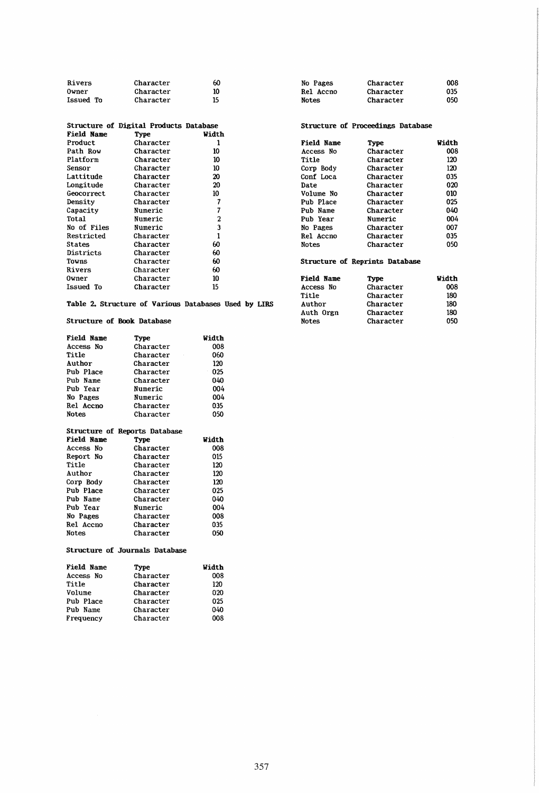| Rivers    | Character | 60 |
|-----------|-----------|----|
| Owner     | Character | 10 |
| Issued To | Character | 15 |

|                   | Structure of Digital Products Database |       |
|-------------------|----------------------------------------|-------|
| <b>Field Name</b> | Type                                   | Width |
| Product           | Character                              | 1     |
| Path Row          | Character                              | 10    |
| Platform          | Character                              | 10    |
| Sensor            | Character                              | 10    |
| Lattitude         | Character                              | 20    |
| Longitude         | Character                              | 20    |
| Geocorrect.       | Character                              | 10    |
| Density           | Character                              | 7     |
| Capacity          | Numeric                                | 7     |
| Total             | Numeric                                | 2     |
| No of Files       | Numeric                                | 3     |
| Restricted        | Character                              | 1     |
| States            | Character                              | 60    |
| Districts         | Character                              | 60    |
| Towns             | Character                              | 60    |
| Rivers            | Character                              | 60    |
| Owner             | Character                              | 10    |
| Issued To         | Character                              | 15    |

Table 2. Structure of Various Databases Used by LIRS

# Structure of Book Database

| <b>Field Name</b> | Type                          | Width |
|-------------------|-------------------------------|-------|
| Access No         | Character                     | 008   |
| Title             | Character                     | 060   |
| Author            | Character                     | 120   |
| Pub Place         | Character                     | 025   |
| Pub Name          | Character                     | 040   |
| <b>Pub Year</b>   | Numeric                       | 004   |
| No Pages          | Numeric                       | 004   |
| Rel Accno         | Character                     | 035   |
| <b>Notes</b>      | Character                     | 050   |
|                   | Structure of Reports Database |       |
|                   |                               |       |
| <b>Field Name</b> | Type                          | Width |
| Access No         | Character                     | 008   |
| Report No         | Character                     | 015   |
| Title             | Character                     | 120   |
| Author            | Character                     | 120   |
| Corp Body         | Character                     | 120   |
| Pub Place         | Character                     | 025   |
| Pub Name          | Character                     | 040   |
| Pub Year          | Numeric                       | 004   |
| No Pages          | Character                     | 008   |
| Rel Accno         | Character                     | 035   |

# Structure of Journals Database

| <b>Field Name</b> | Type      | Width |
|-------------------|-----------|-------|
| Access No         | Character | 008   |
| Title             | Character | 120   |
| Volume            | Character | 020   |
| Pub Place         | Character | 025   |
| Pub Name          | Character | 040   |
| Frequency         | Character | 008   |

| No Pages     | Character | 008 |
|--------------|-----------|-----|
| Rel Accno    | Character | 035 |
| <b>Notes</b> | Character | 050 |

# Structure of Proceedings Database

| <b>Field Name</b> | Type      | Width |
|-------------------|-----------|-------|
| Access No         | Character | 008   |
| Title             | Character | 120   |
| Corp Body         | Character | 120   |
| Conf Loca         | Character | 035   |
| Date              | Character | 020   |
| Volume No         | Character | 010   |
| Pub Place         | Character | 025   |
| Pub Name          | Character | 040   |
| Pub Year          | Numeric   | 004   |
| No Pages          | Character | 007   |
| <b>Rel Accno</b>  | Character | 035   |
| Notes             | Character | 050   |

# Structure of Reprints Database

| <b>Field Name</b> | Type      | Width |
|-------------------|-----------|-------|
| Access No         | Character | 008   |
| Title             | Character | 180   |
| Author            | Character | 180   |
| Auth Orgn         | Character | 180   |
| <b>Notes</b>      | Character | 050   |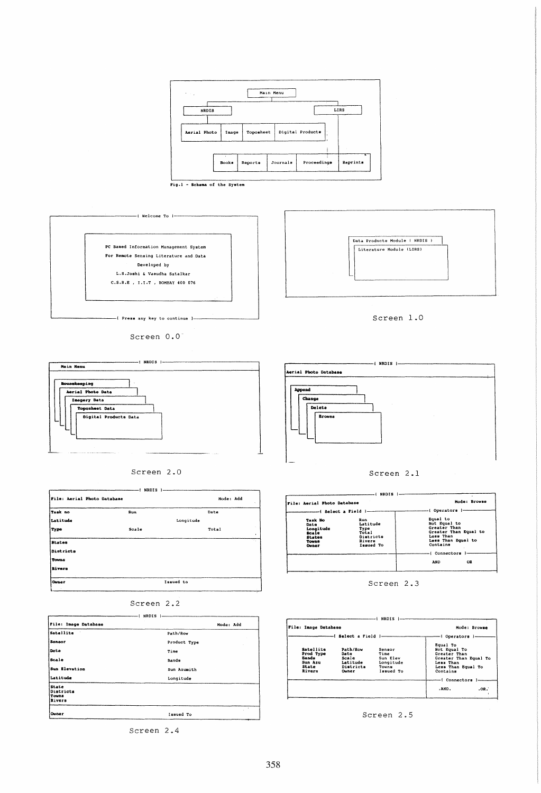

Fig.1 - Schema of the System



Screen 0.0





| File: Aerial Photo Database |       | Mode: Add  |
|-----------------------------|-------|------------|
| Taak no                     | Run   | Date       |
| Latitude                    |       | Longitude  |
| Type                        | Scale | Total<br>٠ |
| <b>States</b>               |       |            |
| Districts                   |       |            |
| Towns                       |       |            |
| <b>Rivers</b>               |       |            |
| <b>Owner</b>                |       | Izsued to  |
|                             |       |            |

|  |  | Screen 2.2 |  |  |
|--|--|------------|--|--|
|  |  |            |  |  |

|                                              | NRDIS        |
|----------------------------------------------|--------------|
| File: Image Database                         | Mode: Add    |
| Satellite                                    | Path/Row     |
| Sensor                                       | Product Type |
| Dete                                         | Time         |
| Scale                                        | Bands        |
| Sun Elevation                                | Sun Azumith  |
| Latitude                                     | Longitude    |
| State<br>Districts<br><b>Touns</b><br>Rivers |              |
| Owner                                        | Issued To    |

- ( NRDIS )-**Aerial Photo Database** Appond Change Delete **Browne** 

Screen 2.1

| File: Aerial Photo Database                                                     |                                                                      | -{ Operators }-                                                                                                  |
|---------------------------------------------------------------------------------|----------------------------------------------------------------------|------------------------------------------------------------------------------------------------------------------|
| <b>Task No</b><br>Date<br>Longitude<br><b>Scale</b><br>States<br>Towas<br>Owner | Run<br>Latitude<br>Type<br>Total<br>Districts<br>Rivers<br>Issued To | Equal to<br>Not Equal to<br>Greater Than<br>Greater Than Equal to<br>Less Than<br>Less Than Equal to<br>Contains |
|                                                                                 |                                                                      | i Connectors<br>OR<br><b>AND</b>                                                                                 |

Screen 2.3

|                                                               |                                                             |                                                               | -i Operators }----                                                                                                               |      |
|---------------------------------------------------------------|-------------------------------------------------------------|---------------------------------------------------------------|----------------------------------------------------------------------------------------------------------------------------------|------|
| Satellite<br>Prod Type<br>Bands<br>Sun Azu<br>State<br>Rivers | Path/Row<br>Date<br>Scale<br>Latitude<br>Districts<br>Owner | Sensor<br>Time<br>Sun Elev<br>Longitude<br>Towns<br>Issued To | Equal To<br>Not Equal To<br>Greater Than<br>Greater Than Equal To<br>Less Than<br>Less Than Equal To<br>Contains<br>Connectors 1 |      |
|                                                               |                                                             |                                                               | .AND.                                                                                                                            | .0R. |

Screen 2.5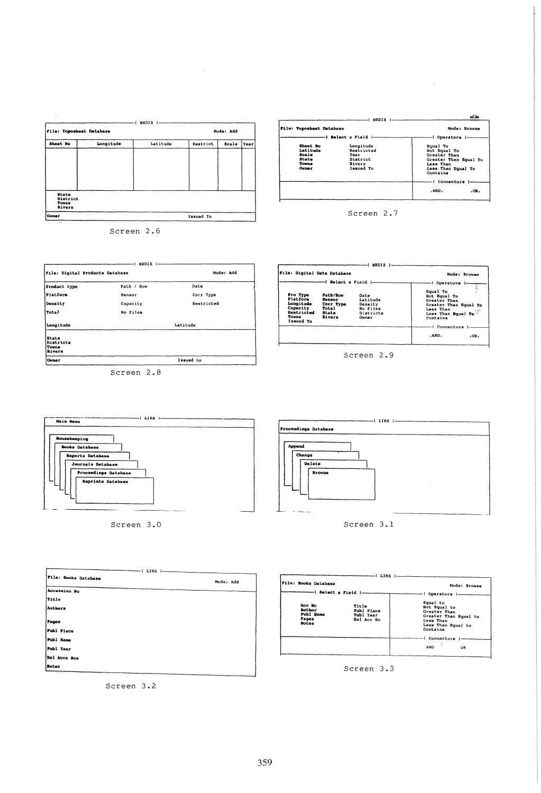| File: Toposhest Database                    |           |          | Mode: Add |       |      |
|---------------------------------------------|-----------|----------|-----------|-------|------|
| Sheet No                                    | Longitude | Latitude | Restrict  | Scale | Year |
|                                             |           |          |           |       |      |
|                                             |           |          |           |       |      |
|                                             |           |          |           |       |      |
|                                             |           |          |           |       |      |
| State<br>District<br>Touns<br><b>Rivers</b> |           |          |           |       |      |
| Owner                                       |           |          | Issued To |       |      |

Screen 2.6

Path / Row

Sensor

Capacity

No Files

Screen 2.8

Pile: Digital Products Database

Product type

|<br>|Platform

Density

Longitude

State<br>Districts<br>Towns<br>Rivers

Owner

Total

 $-1$  NRDIS  $1-$ 

Mode: Add

 $Date$ 

Latitude

Issued to

Corr Type

Restricted

| File: Toposheet Database                                               |                                                                    | Mode: Browse                                                                                                                         |
|------------------------------------------------------------------------|--------------------------------------------------------------------|--------------------------------------------------------------------------------------------------------------------------------------|
|                                                                        |                                                                    |                                                                                                                                      |
| Sheet No<br>Latituda<br>Scale<br><b>State</b><br>TOWDS<br><b>Ouner</b> | Longitude<br>Restricted<br>Year<br>District<br>Rivers<br>Issued To | Equal To<br>Not Equal To<br>Greater Than<br>Greater Than Equal To<br>Less Than<br>Less Than Equal To<br>Contains<br>--i Connectors I |
|                                                                        |                                                                    | .AND.<br>.oa.                                                                                                                        |

Screen 2.7

|                                                                                   |                                                             |                                                               | - Operators 1-                                                                                                                               |
|-----------------------------------------------------------------------------------|-------------------------------------------------------------|---------------------------------------------------------------|----------------------------------------------------------------------------------------------------------------------------------------------|
| Pro Type<br>Platform<br>longitude<br>Capacity<br>Restricted<br>Towns<br>Issued To | Path/Row<br>Sensor<br>Corr Type<br>Total<br>State<br>Rivers | Date<br>Latitude<br>Density<br>No Files<br>Districts<br>Owner | Equal To<br>Not Equal To<br>Greater Than<br>Greater Than Equal To<br>Less Than<br>15.60<br>Less Than Equal To<br>Contains<br>I Connectors I- |
|                                                                                   |                                                             |                                                               | .AND.<br>$.0R$ .                                                                                                                             |

Screen 2.9



Screen 3.0



Screen 3.1

| I LIRS               |           |
|----------------------|-----------|
| File: Books Database | Mode: Add |
| Accession No         |           |
| Title                |           |
| Authors              |           |
| Pages                |           |
| Publ Place           |           |
| Publ Hame            |           |
| Publ Year            |           |
| Rel Acca Nos         |           |
| Botes                |           |
| - -                  |           |

Screen 3.2



Screen 3.3